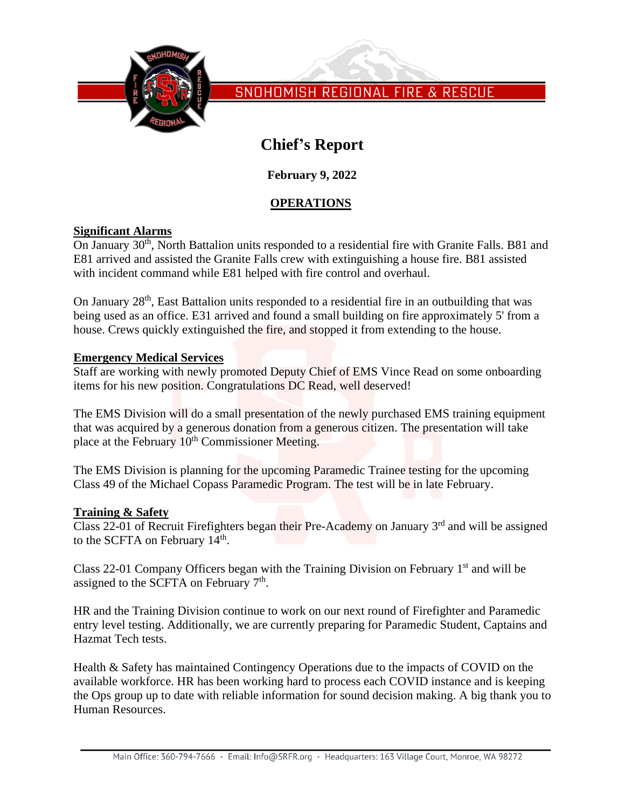

# **Chief's Report**

**February 9, 2022**

## **OPERATIONS**

## **Significant Alarms**

On January 30<sup>th</sup>, North Battalion units responded to a residential fire with Granite Falls. B81 and E81 arrived and assisted the Granite Falls crew with extinguishing a house fire. B81 assisted with incident command while E81 helped with fire control and overhaul.

On January 28<sup>th</sup>, East Battalion units responded to a residential fire in an outbuilding that was being used as an office. E31 arrived and found a small building on fire approximately 5' from a house. Crews quickly extinguished the fire, and stopped it from extending to the house.

## **Emergency Medical Services**

Staff are working with newly promoted Deputy Chief of EMS Vince Read on some onboarding items for his new position. Congratulations DC Read, well deserved!

The EMS Division will do a small presentation of the newly purchased EMS training equipment that was acquired by a generous donation from a generous citizen. The presentation will take place at the February 10<sup>th</sup> Commissioner Meeting.

The EMS Division is planning for the upcoming Paramedic Trainee testing for the upcoming Class 49 of the Michael Copass Paramedic Program. The test will be in late February.

## **Training & Safety**

Class 22-01 of Recruit Firefighters began their Pre-Academy on January 3<sup>rd</sup> and will be assigned to the SCFTA on February  $14<sup>th</sup>$ .

Class 22-01 Company Officers began with the Training Division on February  $1<sup>st</sup>$  and will be assigned to the SCFTA on February  $7<sup>th</sup>$ .

HR and the Training Division continue to work on our next round of Firefighter and Paramedic entry level testing. Additionally, we are currently preparing for Paramedic Student, Captains and Hazmat Tech tests.

Health & Safety has maintained Contingency Operations due to the impacts of COVID on the available workforce. HR has been working hard to process each COVID instance and is keeping the Ops group up to date with reliable information for sound decision making. A big thank you to Human Resources.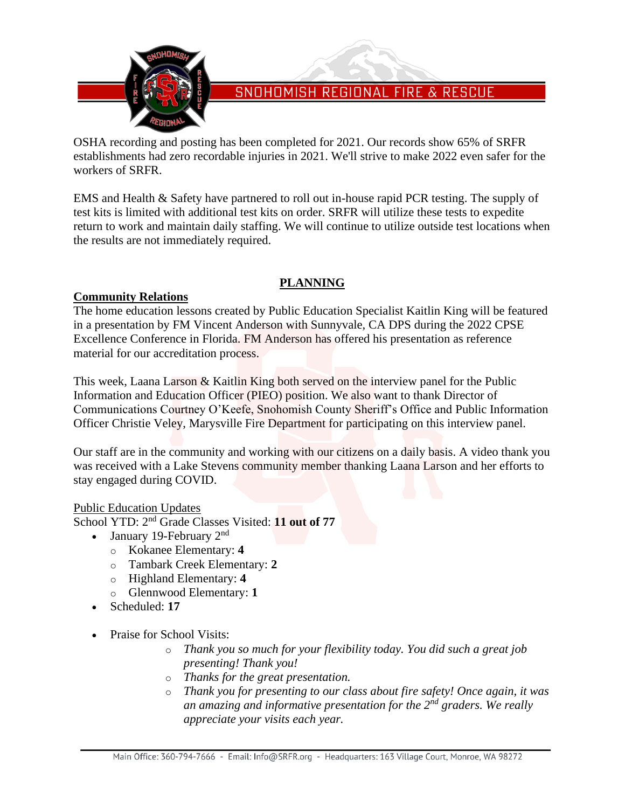

OSHA recording and posting has been completed for 2021. Our records show 65% of SRFR establishments had zero recordable injuries in 2021. We'll strive to make 2022 even safer for the workers of SRFR.

EMS and Health & Safety have partnered to roll out in-house rapid PCR testing. The supply of test kits is limited with additional test kits on order. SRFR will utilize these tests to expedite return to work and maintain daily staffing. We will continue to utilize outside test locations when the results are not immediately required.

## **PLANNING**

## **Community Relations**

The home education lessons created by Public Education Specialist Kaitlin King will be featured in a presentation by FM Vincent Anderson with Sunnyvale, CA DPS during the 2022 CPSE Excellence Conference in Florida. FM Anderson has offered his presentation as reference material for our accreditation process.

This week, Laana Larson & Kaitlin King both served on the interview panel for the Public Information and Education Officer (PIEO) position. We also want to thank Director of Communications Courtney O'Keefe, Snohomish County Sheriff's Office and Public Information Officer Christie Veley, Marysville Fire Department for participating on this interview panel.

Our staff are in the community and working with our citizens on a daily basis. A video thank you was received with a Lake Stevens community member thanking Laana Larson and her efforts to stay engaged during COVID.

## Public Education Updates

School YTD: 2<sup>nd</sup> Grade Classes Visited: 11 out of 77

- January 19-February  $2<sup>nd</sup>$ 
	- o Kokanee Elementary: **4**
	- o Tambark Creek Elementary: **2**
	- o Highland Elementary: **4**
	- o Glennwood Elementary: **1**
- Scheduled: **17**
- Praise for School Visits:
	- o *Thank you so much for your flexibility today. You did such a great job presenting! Thank you!*
	- o *Thanks for the great presentation.*
	- o *Thank you for presenting to our class about fire safety! Once again, it was an amazing and informative presentation for the 2nd graders. We really appreciate your visits each year.*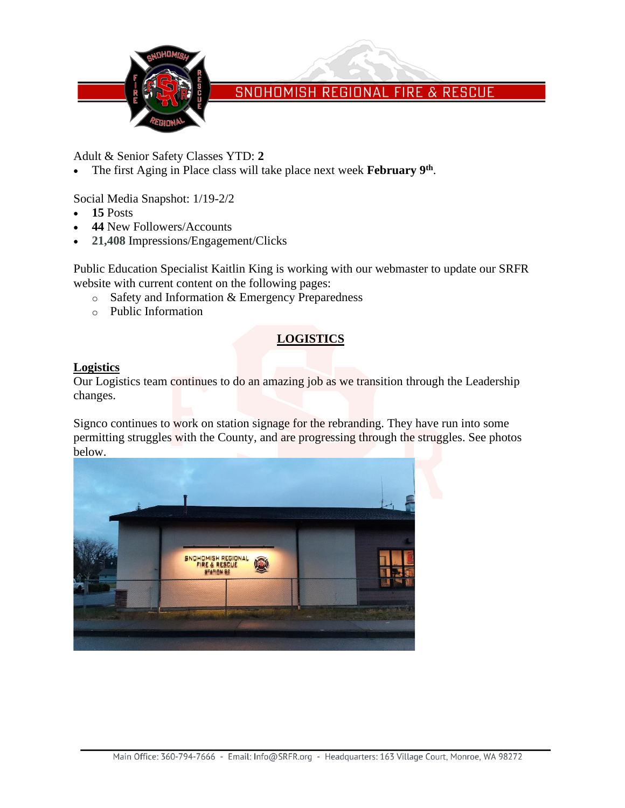

Adult & Senior Safety Classes YTD: **2**

• The first Aging in Place class will take place next week **February 9th** .

Social Media Snapshot: 1/19-2/2

- **15** Posts
- **44** New Followers/Accounts
- **21,408** Impressions/Engagement/Clicks

Public Education Specialist Kaitlin King is working with our webmaster to update our SRFR website with current content on the following pages:

- o Safety and Information & Emergency Preparedness
- o Public Information

## **LOGISTICS**

#### **Logistics**

Our Logistics team continues to do an amazing job as we transition through the Leadership changes.

Signco continues to work on station signage for the rebranding. They have run into some permitting struggles with the County, and are progressing through the struggles. See photos below.